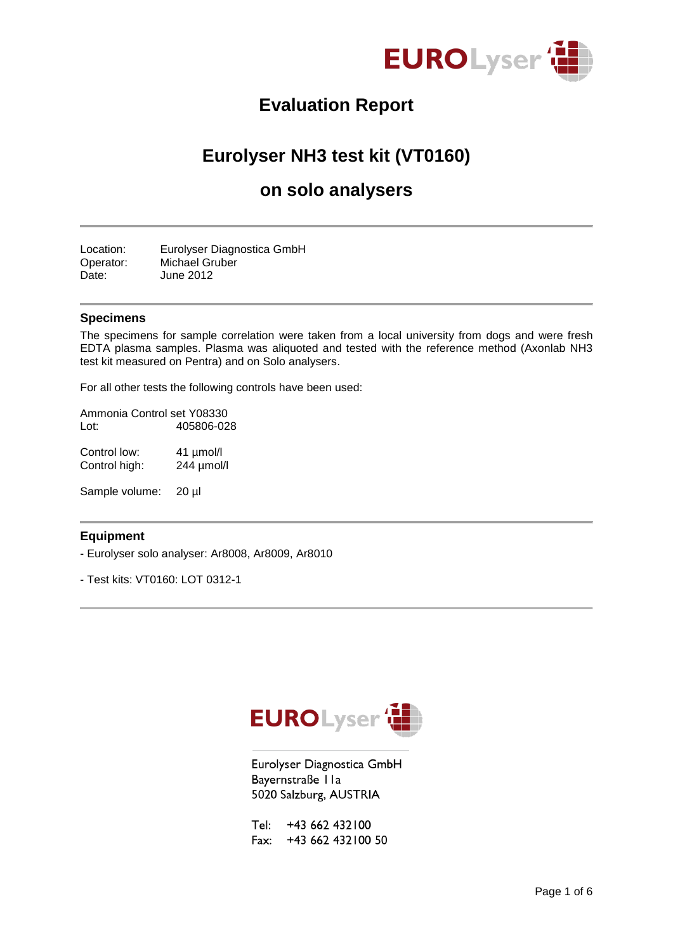

# **Evaluation Report**

# **Eurolyser NH3 test kit (VT0160)**

## **on solo analysers**

Location: Eurolyser Diagnostica GmbH Operator: Michael Gruber Date: June 2012

#### **Specimens**

The specimens for sample correlation were taken from a local university from dogs and were fresh EDTA plasma samples. Plasma was aliquoted and tested with the reference method (Axonlab NH3 test kit measured on Pentra) and on Solo analysers.

For all other tests the following controls have been used:

Ammonia Control set Y08330<br>Lot: 405806-02 Lot: 405806-028

Control low: 41 µmol/l Control high: 244 µmol/l

Sample volume: 20 µl

#### **Equipment**

- Eurolyser solo analyser: Ar8008, Ar8009, Ar8010
- Test kits: VT0160: LOT 0312-1



Eurolyser Diagnostica GmbH Bayernstraße IIa 5020 Salzburg, AUSTRIA

Tel: +43 662 432 100 Fax: +43 662 432 100 50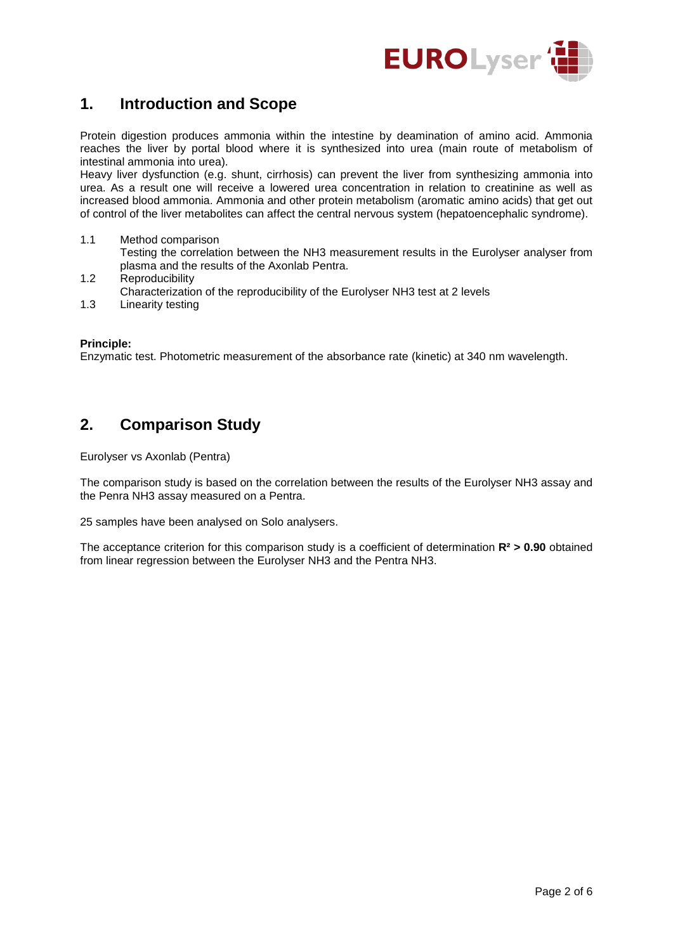

### **1. Introduction and Scope**

Protein digestion produces ammonia within the intestine by deamination of amino acid. Ammonia reaches the liver by portal blood where it is synthesized into urea (main route of metabolism of intestinal ammonia into urea).

Heavy liver dysfunction (e.g. shunt, cirrhosis) can prevent the liver from synthesizing ammonia into urea. As a result one will receive a lowered urea concentration in relation to creatinine as well as increased blood ammonia. Ammonia and other protein metabolism (aromatic amino acids) that get out of control of the liver metabolites can affect the central nervous system (hepatoencephalic syndrome).

- 1.1 Method comparison Testing the correlation between the NH3 measurement results in the Eurolyser analyser from plasma and the results of the Axonlab Pentra.
- 1.2 Reproducibility Characterization of the reproducibility of the Eurolyser NH3 test at 2 levels
- 1.3 Linearity testing

#### **Principle:**

Enzymatic test. Photometric measurement of the absorbance rate (kinetic) at 340 nm wavelength.

### **2. Comparison Study**

Eurolyser vs Axonlab (Pentra)

The comparison study is based on the correlation between the results of the Eurolyser NH3 assay and the Penra NH3 assay measured on a Pentra.

25 samples have been analysed on Solo analysers.

The acceptance criterion for this comparison study is a coefficient of determination **R² > 0.90** obtained from linear regression between the Eurolyser NH3 and the Pentra NH3.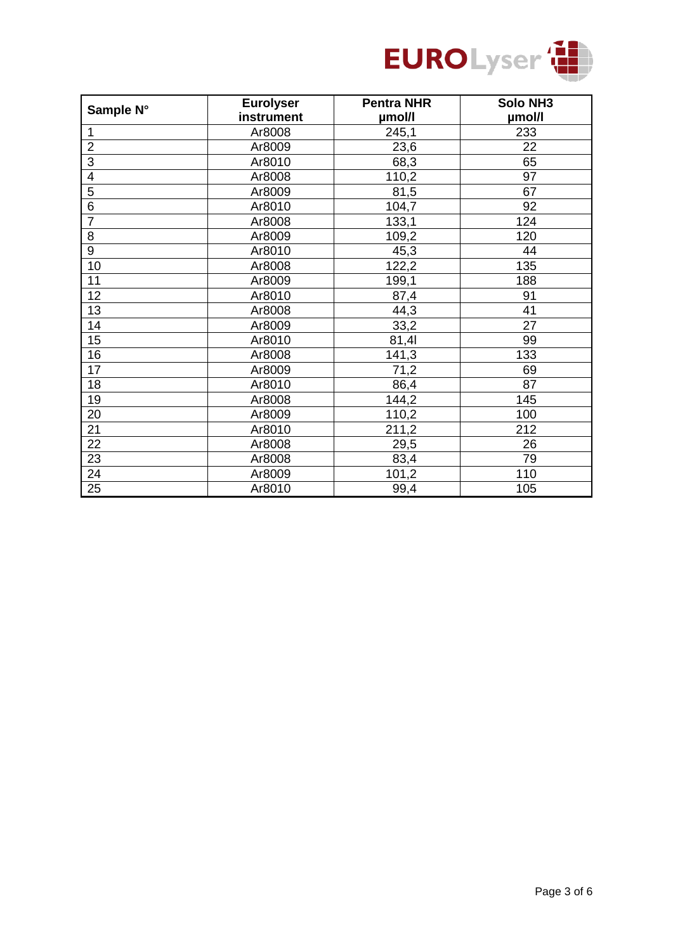

| Sample N°       | <b>Eurolyser</b> | <b>Pentra NHR</b> | <b>Solo NH3</b> |
|-----------------|------------------|-------------------|-----------------|
|                 | instrument       | µmol/l            | µmol/l          |
| 1               | Ar8008           | 245,1             | 233             |
| $\overline{2}$  | Ar8009           | 23,6              | 22              |
| $\overline{3}$  | Ar8010           | 68,3              | 65              |
| 4               | Ar8008           | 110,2             | 97              |
| 5               | Ar8009           | 81,5              | 67              |
| 6               | Ar8010           | 104,7             | 92              |
| $\overline{7}$  | Ar8008           | 133,1             | 124             |
| 8               | Ar8009           | 109,2             | 120             |
| 9               | Ar8010           | 45,3              | 44              |
| 10              | Ar8008           | 122,2             | 135             |
| 11              | Ar8009           | 199,1             | 188             |
| 12              | Ar8010           | 87,4              | 91              |
| 13              | Ar8008           | 44,3              | $\overline{41}$ |
| 14              | Ar8009           | 33,2              | 27              |
| 15              | Ar8010           | 81,41             | 99              |
| 16              | Ar8008           | 141,3             | 133             |
| 17              | Ar8009           | 71,2              | 69              |
| 18              | Ar8010           | 86,4              | 87              |
| 19              | Ar8008           | 144,2             | 145             |
| 20              | Ar8009           | 110,2             | 100             |
| 21              | Ar8010           | 211,2             | 212             |
| 22              | Ar8008           | 29,5              | 26              |
| 23              | Ar8008           | 83,4              | 79              |
| 24              | Ar8009           | 101,2             | 110             |
| $\overline{25}$ | Ar8010           | 99,4              | 105             |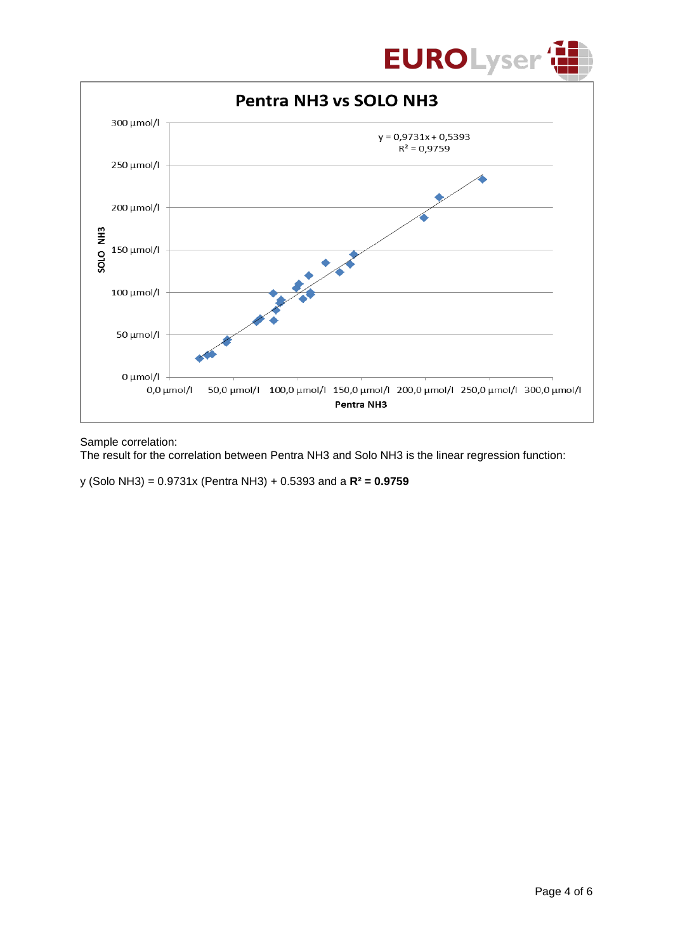



Sample correlation:

The result for the correlation between Pentra NH3 and Solo NH3 is the linear regression function:

y (Solo NH3) = 0.9731x (Pentra NH3) + 0.5393 and a **R² = 0.9759**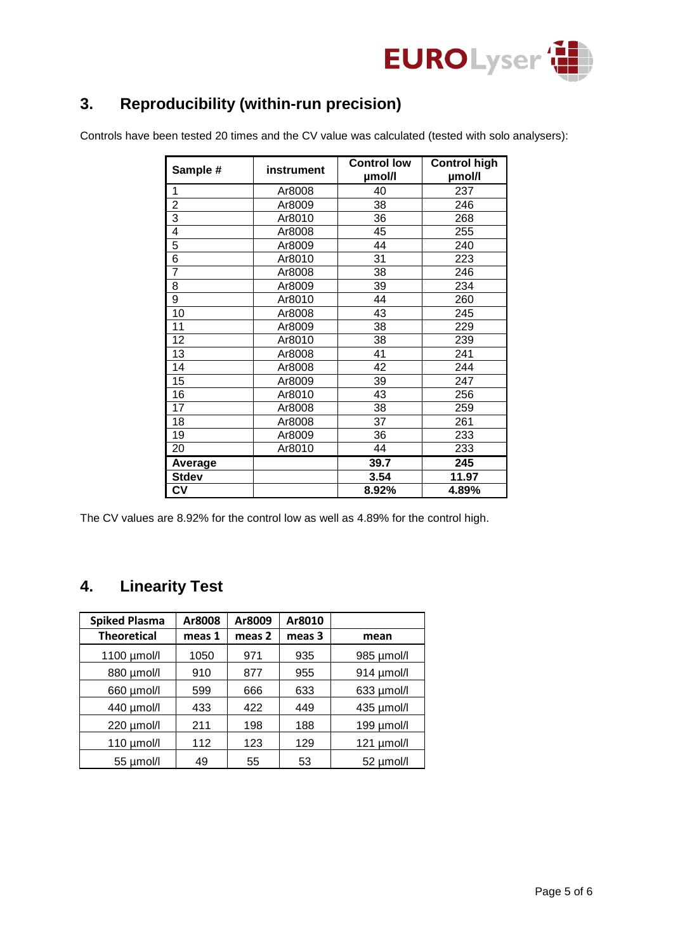

# **3. Reproducibility (within-run precision)**

Controls have been tested 20 times and the CV value was calculated (tested with solo analysers):

| Sample #       | instrument | <b>Control low</b><br>µmol/l | <b>Control high</b><br>µmol/l |
|----------------|------------|------------------------------|-------------------------------|
| 1              | Ar8008     | 40                           | 237                           |
| $\overline{2}$ | Ar8009     | 38                           | 246                           |
| 3              | Ar8010     | 36                           | 268                           |
| 4              | Ar8008     | 45                           | 255                           |
| 5              | Ar8009     | 44                           | 240                           |
| 6              | Ar8010     | 31                           | 223                           |
| $\overline{7}$ | Ar8008     | 38                           | 246                           |
| 8              | Ar8009     | 39                           | 234                           |
| 9              | Ar8010     | 44                           | 260                           |
| 10             | Ar8008     | 43                           | 245                           |
| 11             | Ar8009     | 38                           | 229                           |
| 12             | Ar8010     | 38                           | 239                           |
| 13             | Ar8008     | 41                           | 241                           |
| 14             | Ar8008     | 42                           | 244                           |
| 15             | Ar8009     | 39                           | 247                           |
| 16             | Ar8010     | 43                           | 256                           |
| 17             | Ar8008     | 38                           | 259                           |
| 18             | Ar8008     | 37                           | 261                           |
| 19             | Ar8009     | 36                           | 233                           |
| 20             | Ar8010     | 44                           | 233                           |
| Average        |            | 39.7                         | 245                           |
| <b>Stdev</b>   |            | 3.54                         | 11.97                         |
| <b>CV</b>      |            | 8.92%                        | 4.89%                         |

The CV values are 8.92% for the control low as well as 4.89% for the control high.

### **4. Linearity Test**

| <b>Spiked Plasma</b> | Ar8008 | Ar8009 | Ar8010 |                 |
|----------------------|--------|--------|--------|-----------------|
| <b>Theoretical</b>   | meas 1 | meas 2 | meas 3 | mean            |
| 1100 µmol/l          | 1050   | 971    | 935    | 985 µmol/l      |
| 880 µmol/l           | 910    | 877    | 955    | 914 µmol/l      |
| 660 µmol/l           | 599    | 666    | 633    | 633 µmol/l      |
| 440 µmol/l           | 433    | 422    | 449    | 435 µmol/l      |
| 220 µmol/l           | 211    | 198    | 188    | 199 $\mu$ mol/l |
| 110 $\mu$ mol/l      | 112    | 123    | 129    | 121 µmol/l      |
| 55 µmol/l            | 49     | 55     | 53     | 52 µmol/l       |